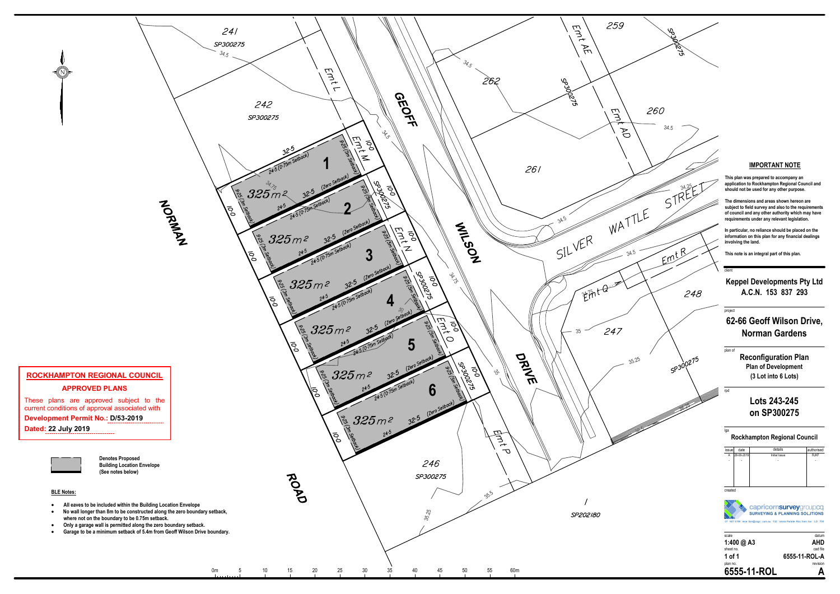

| issue   | date       | details       | authorised  |
|---------|------------|---------------|-------------|
| A       | 28-06-2019 | Initial Issue | <b>RJKF</b> |
| ÷,      |            |               |             |
|         |            |               |             |
|         |            |               |             |
|         |            |               |             |
|         |            |               |             |
| created |            |               |             |